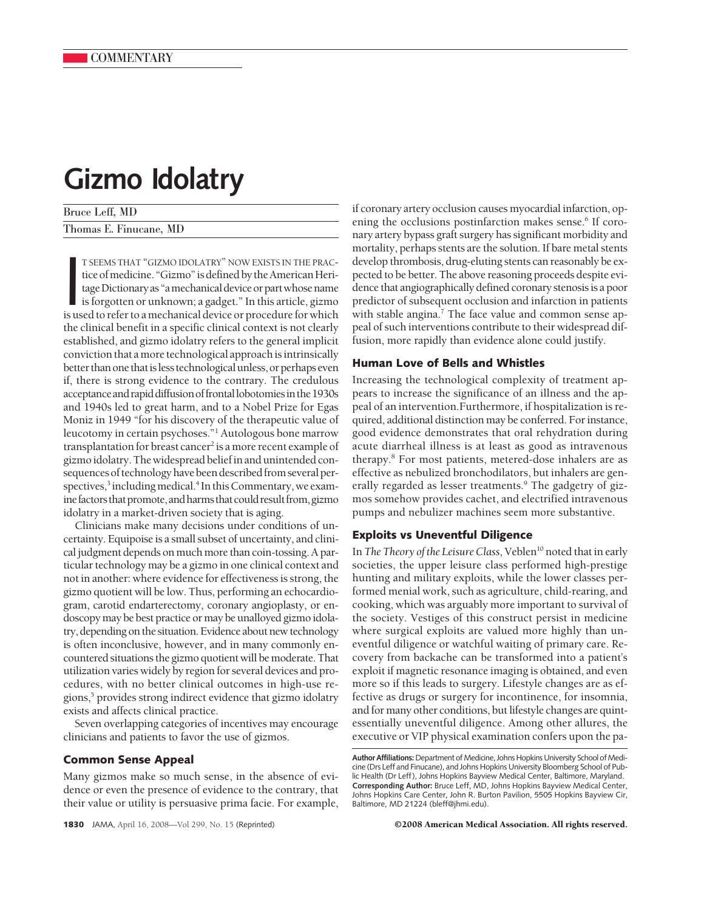# **Gizmo Idolatry**

Bruce Leff, MD Thomas E. Finucane, MD

I T SEEMS THAT "GIZMO IDOLATRY" NOW EXISTS IN THE PRACtice of medicine. "Gizmo" is defined by the American Heritage Dictionary as "a mechanical device or part whose name is forgotten or unknown; a gadget." In this article, T SEEMS THAT "GIZMO IDOLATRY" NOW EXISTS IN THE PRACtice of medicine. "Gizmo" is defined by the American Heritage Dictionary as "a mechanical device or part whose name is forgotten or unknown; a gadget." In this article, gizmo the clinical benefit in a specific clinical context is not clearly established, and gizmo idolatry refers to the general implicit conviction that amore technological approachisintrinsically better than one that is less technological unless, or perhaps even if, there is strong evidence to the contrary. The credulous acceptance and rapid diffusion of frontal lobotomies in the 1930s and 1940s led to great harm, and to a Nobel Prize for Egas Moniz in 1949 "for his discovery of the therapeutic value of leucotomy in certain psychoses."1 Autologous bone marrow transplantation for breast cancer<sup>2</sup> is a more recent example of gizmo idolatry. The widespread belief in and unintended consequences of technology have been described from several perspectives,<sup>3</sup> including medical.<sup>4</sup> In this Commentary, we examine factors that promote, and harms that could result from, gizmo idolatry in a market-driven society that is aging.

Clinicians make many decisions under conditions of uncertainty. Equipoise is a small subset of uncertainty, and clinical judgment depends on much more than coin-tossing. A particular technology may be a gizmo in one clinical context and not in another: where evidence for effectiveness is strong, the gizmo quotient will be low. Thus, performing an echocardiogram, carotid endarterectomy, coronary angioplasty, or endoscopy may be best practice or may be unalloyed gizmo idolatry, depending on the situation. Evidence about new technology is often inconclusive, however, and in many commonly encountered situations the gizmo quotient will be moderate. That utilization varies widely by region for several devices and procedures, with no better clinical outcomes in high-use regions,<sup>5</sup> provides strong indirect evidence that gizmo idolatry exists and affects clinical practice.

Seven overlapping categories of incentives may encourage clinicians and patients to favor the use of gizmos.

## **Common Sense Appeal**

Many gizmos make so much sense, in the absence of evidence or even the presence of evidence to the contrary, that their value or utility is persuasive prima facie. For example,

if coronary artery occlusion causes myocardial infarction, opening the occlusions postinfarction makes sense.<sup>6</sup> If coronary artery bypass graft surgery has significant morbidity and mortality, perhaps stents are the solution. If bare metal stents develop thrombosis, drug-eluting stents can reasonably be expected to be better. The above reasoning proceeds despite evidence that angiographically defined coronary stenosis is a poor predictor of subsequent occlusion and infarction in patients with stable angina.<sup>7</sup> The face value and common sense appeal of such interventions contribute to their widespread diffusion, more rapidly than evidence alone could justify.

#### **Human Love of Bells and Whistles**

Increasing the technological complexity of treatment appears to increase the significance of an illness and the appeal of an intervention.Furthermore, if hospitalization is required, additional distinction may be conferred. For instance, good evidence demonstrates that oral rehydration during acute diarrheal illness is at least as good as intravenous therapy.8 For most patients, metered-dose inhalers are as effective as nebulized bronchodilators, but inhalers are generally regarded as lesser treatments.<sup>9</sup> The gadgetry of gizmos somehow provides cachet, and electrified intravenous pumps and nebulizer machines seem more substantive.

## **Exploits vs Uneventful Diligence**

In *The Theory of the Leisure Class*, Veblen<sup>10</sup> noted that in early societies, the upper leisure class performed high-prestige hunting and military exploits, while the lower classes performed menial work, such as agriculture, child-rearing, and cooking, which was arguably more important to survival of the society. Vestiges of this construct persist in medicine where surgical exploits are valued more highly than uneventful diligence or watchful waiting of primary care. Recovery from backache can be transformed into a patient's exploit if magnetic resonance imaging is obtained, and even more so if this leads to surgery. Lifestyle changes are as effective as drugs or surgery for incontinence, for insomnia, and for many other conditions, but lifestyle changes are quintessentially uneventful diligence. Among other allures, the executive or VIP physical examination confers upon the pa-

**1830** JAMA, April 16, 2008—Vol 299, No. 15 (Reprinted) ©2008 American Medical Association. All rights reserved.

Author Affiliations: Department of Medicine, Johns Hopkins University School of Medicine (Drs Leff and Finucane), and Johns Hopkins University Bloomberg School of Public Health (Dr Leff ), Johns Hopkins Bayview Medical Center, Baltimore, Maryland. **Corresponding Author:** Bruce Leff, MD, Johns Hopkins Bayview Medical Center, Johns Hopkins Care Center, John R. Burton Pavilion, 5505 Hopkins Bayview Cir, Baltimore, MD 21224 (bleff@jhmi.edu).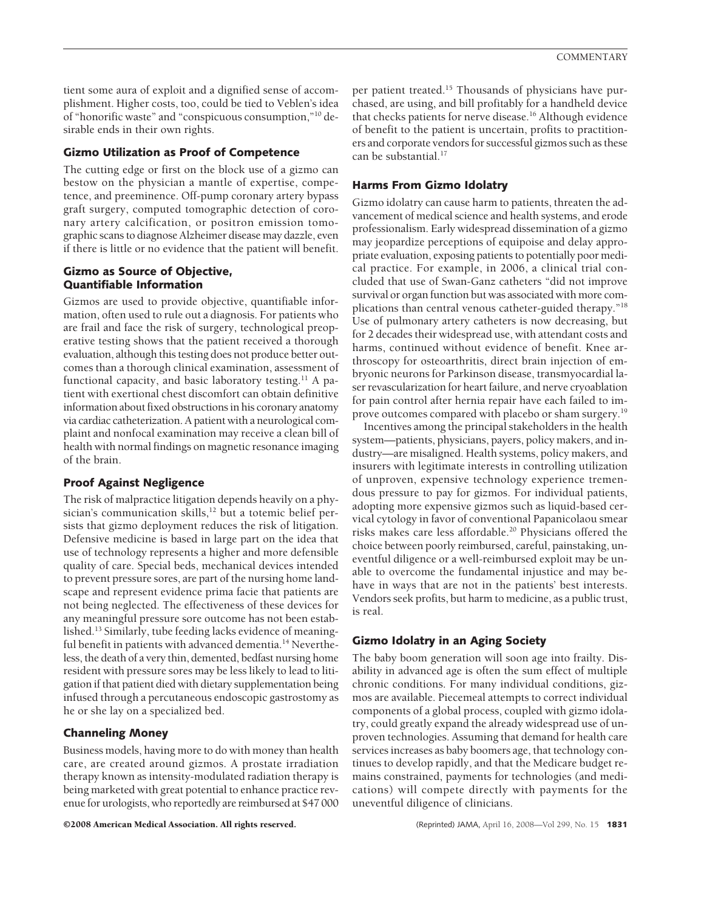tient some aura of exploit and a dignified sense of accomplishment. Higher costs, too, could be tied to Veblen's idea of "honorific waste" and "conspicuous consumption,"10 desirable ends in their own rights.

# **Gizmo Utilization as Proof of Competence**

The cutting edge or first on the block use of a gizmo can bestow on the physician a mantle of expertise, competence, and preeminence. Off-pump coronary artery bypass graft surgery, computed tomographic detection of coronary artery calcification, or positron emission tomographic scans to diagnose Alzheimer disease may dazzle, even if there is little or no evidence that the patient will benefit.

## **Gizmo as Source of Objective, Quantifiable Information**

Gizmos are used to provide objective, quantifiable information, often used to rule out a diagnosis. For patients who are frail and face the risk of surgery, technological preoperative testing shows that the patient received a thorough evaluation, although this testing does not produce better outcomes than a thorough clinical examination, assessment of functional capacity, and basic laboratory testing.<sup>11</sup> A patient with exertional chest discomfort can obtain definitive information about fixed obstructions in his coronary anatomy via cardiac catheterization. A patient with a neurological complaint and nonfocal examination may receive a clean bill of health with normal findings on magnetic resonance imaging of the brain.

#### **Proof Against Negligence**

The risk of malpractice litigation depends heavily on a physician's communication skills,<sup>12</sup> but a totemic belief persists that gizmo deployment reduces the risk of litigation. Defensive medicine is based in large part on the idea that use of technology represents a higher and more defensible quality of care. Special beds, mechanical devices intended to prevent pressure sores, are part of the nursing home landscape and represent evidence prima facie that patients are not being neglected. The effectiveness of these devices for any meaningful pressure sore outcome has not been established.13 Similarly, tube feeding lacks evidence of meaningful benefit in patients with advanced dementia.<sup>14</sup> Nevertheless, the death of a very thin, demented, bedfast nursing home resident with pressure sores may be less likely to lead to litigation if that patient died with dietary supplementation being infused through a percutaneous endoscopic gastrostomy as he or she lay on a specialized bed.

# **Channeling Money**

Business models, having more to do with money than health care, are created around gizmos. A prostate irradiation therapy known as intensity-modulated radiation therapy is being marketed with great potential to enhance practice revenue for urologists, who reportedly are reimbursed at \$47 000 per patient treated.15 Thousands of physicians have purchased, are using, and bill profitably for a handheld device that checks patients for nerve disease.<sup>16</sup> Although evidence of benefit to the patient is uncertain, profits to practitioners and corporate vendors for successful gizmos such as these can be substantial.17

#### **Harms From Gizmo Idolatry**

Gizmo idolatry can cause harm to patients, threaten the advancement of medical science and health systems, and erode professionalism. Early widespread dissemination of a gizmo may jeopardize perceptions of equipoise and delay appropriate evaluation, exposing patients to potentially poor medical practice. For example, in 2006, a clinical trial concluded that use of Swan-Ganz catheters "did not improve survival or organ function but was associated with more complications than central venous catheter-guided therapy."18 Use of pulmonary artery catheters is now decreasing, but for 2 decades their widespread use, with attendant costs and harms, continued without evidence of benefit. Knee arthroscopy for osteoarthritis, direct brain injection of embryonic neurons for Parkinson disease, transmyocardial laser revascularization for heart failure, and nerve cryoablation for pain control after hernia repair have each failed to improve outcomes compared with placebo or sham surgery.<sup>19</sup>

Incentives among the principal stakeholders in the health system—patients, physicians, payers, policy makers, and industry—are misaligned. Health systems, policy makers, and insurers with legitimate interests in controlling utilization of unproven, expensive technology experience tremendous pressure to pay for gizmos. For individual patients, adopting more expensive gizmos such as liquid-based cervical cytology in favor of conventional Papanicolaou smear risks makes care less affordable.<sup>20</sup> Physicians offered the choice between poorly reimbursed, careful, painstaking, uneventful diligence or a well-reimbursed exploit may be unable to overcome the fundamental injustice and may behave in ways that are not in the patients' best interests. Vendors seek profits, but harm to medicine, as a public trust, is real.

#### **Gizmo Idolatry in an Aging Society**

The baby boom generation will soon age into frailty. Disability in advanced age is often the sum effect of multiple chronic conditions. For many individual conditions, gizmos are available. Piecemeal attempts to correct individual components of a global process, coupled with gizmo idolatry, could greatly expand the already widespread use of unproven technologies. Assuming that demand for health care services increases as baby boomers age, that technology continues to develop rapidly, and that the Medicare budget remains constrained, payments for technologies (and medications) will compete directly with payments for the uneventful diligence of clinicians.

©2008 American Medical Association. All rights reserved. (Reprinted) JAMA, April 16, 2008—Vol 299, No. 15 **1831**